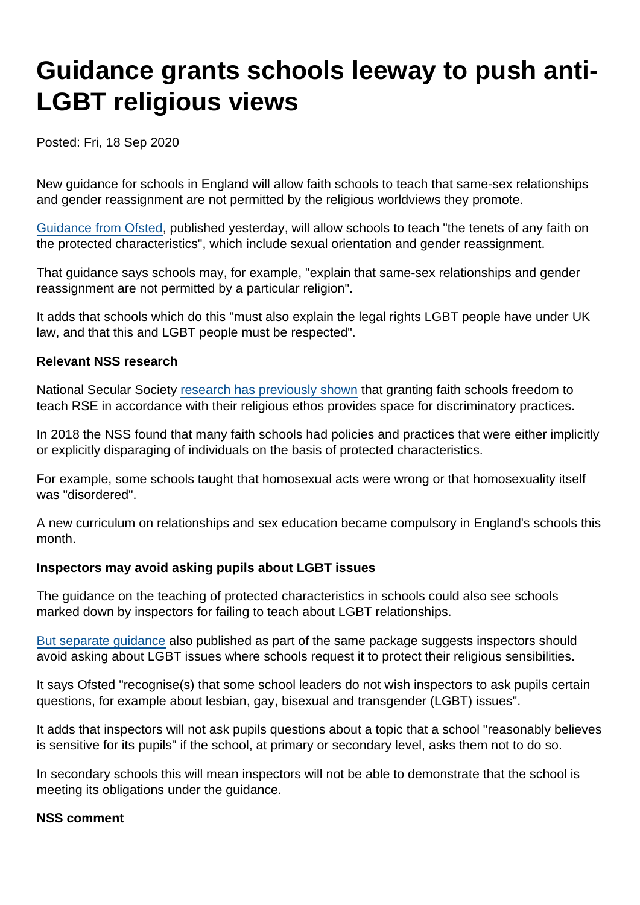# Guidance grants schools leeway to push anti-LGBT religious views

Posted: Fri, 18 Sep 2020

New guidance for schools in England will allow faith schools to teach that same-sex relationships and gender reassignment are not permitted by the religious worldviews they promote.

[Guidance from Ofsted](https://www.gov.uk/government/publications/inspecting-teaching-of-the-protected-characteristics-in-schools/inspecting-teaching-of-the-protected-characteristics-in-schools), published yesterday, will allow schools to teach "the tenets of any faith on the protected characteristics", which include sexual orientation and gender reassignment.

That guidance says schools may, for example, "explain that same-sex relationships and gender reassignment are not permitted by a particular religion".

It adds that schools which do this "must also explain the legal rights LGBT people have under UK law, and that this and LGBT people must be respected".

Relevant NSS research

National Secular Society [research has previously shown](https://www.secularism.org.uk/uploads/unsafe-sex-report-april-2018.pdf) that granting faith schools freedom to teach RSE in accordance with their religious ethos provides space for discriminatory practices.

In 2018 the NSS found that many faith schools had policies and practices that were either implicitly or explicitly disparaging of individuals on the basis of protected characteristics.

For example, some schools taught that homosexual acts were wrong or that homosexuality itself was "disordered".

A new curriculum on relationships and sex education became compulsory in England's schools this month.

Inspectors may avoid asking pupils about LGBT issues

The guidance on the teaching of protected characteristics in schools could also see schools marked down by inspectors for failing to teach about LGBT relationships.

[But separate guidance](https://www.gov.uk/government/publications/inspectors-talking-to-pupils-on-inspection/inspectors-talking-to-pupils-on-inspection) also published as part of the same package suggests inspectors should avoid asking about LGBT issues where schools request it to protect their religious sensibilities.

It says Ofsted "recognise(s) that some school leaders do not wish inspectors to ask pupils certain questions, for example about lesbian, gay, bisexual and transgender (LGBT) issues".

It adds that inspectors will not ask pupils questions about a topic that a school "reasonably believes is sensitive for its pupils" if the school, at primary or secondary level, asks them not to do so.

In secondary schools this will mean inspectors will not be able to demonstrate that the school is meeting its obligations under the guidance.

NSS comment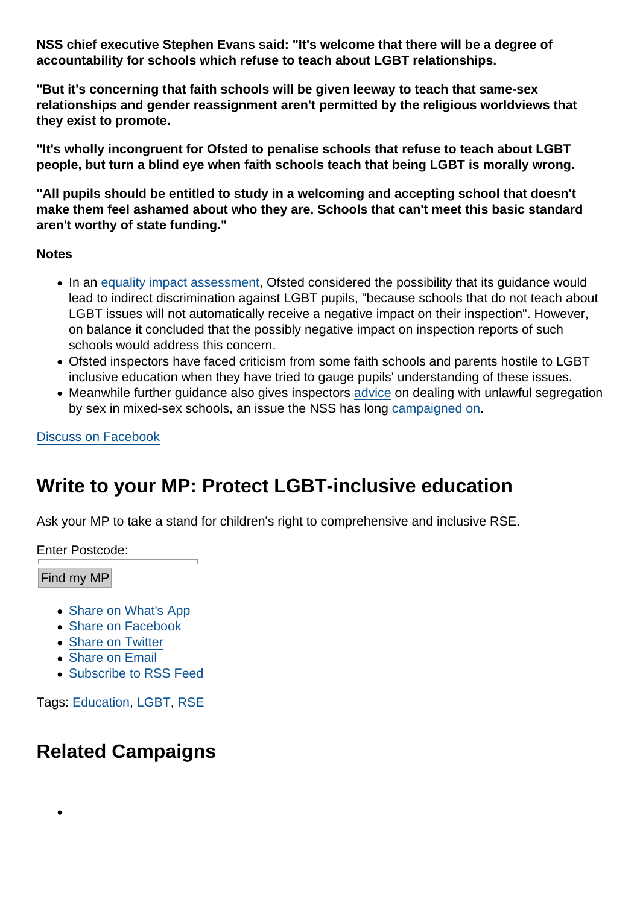NSS chief executive Stephen Evans said: "It's welcome that there will be a degree of accountability for schools which refuse to teach about LGBT relationships.

"But it's concerning that faith schools will be given leeway to teach that same-sex relationships and gender reassignment aren't permitted by the religious worldviews that they exist to promote.

"It's wholly incongruent for Ofsted to penalise schools that refuse to teach about LGBT people, but turn a blind eye when faith schools teach that being LGBT is morally wrong.

"All pupils should be entitled to study in a welcoming and accepting school that doesn't make them feel ashamed about who they are. Schools that can't meet this basic standard aren't worthy of state funding."

**Notes** 

- In an [equality impact assessment](https://www.gov.uk/government/publications/inspecting-teaching-of-the-protected-characteristics-in-schools/equality-and-diversity-impact-assessment-inspecting-protected-characteristics), Ofsted considered the possibility that its guidance would lead to indirect discrimination against LGBT pupils, "because schools that do not teach about LGBT issues will not automatically receive a negative impact on their inspection". However, on balance it concluded that the possibly negative impact on inspection reports of such schools would address this concern.
- Ofsted inspectors have faced criticism from some faith schools and parents hostile to LGBT inclusive education when they have tried to gauge pupils' understanding of these issues.
- Meanwhile further guidance also gives inspectors [advice](https://www.gov.uk/government/publications/separation-by-sex-implications-for-inspections-of-mixed-sexco-educational-schools/separation-by-sex-implications-for-inspections-of-mixed-sexco-educational-schools) on dealing with unlawful segregation by sex in mixed-sex schools, an issue the NSS has long [campaigned on.](https://www.secularism.org.uk/news/2017/10/nss-welcomes-ruling--islamic-schools-gender-segregation-unlawful)

[Discuss on Facebook](https://www.facebook.com/NationalSecularSociety/posts/3324644670937194?__xts__[0]=68.ARAMYISJvHpuvjaITa3DuZjscDp1PnttXlRBo8kV7MU9zKKNsQfoiO9CAcy9nwFwKz1n0SSbc82BYvEYgF9HUawG691iumVP5OjcUfbsRAWZJWps22-cpoABb6s7mPs17R2Ms1S55RrkL1vUg7KNibznoXWm_Firzln92CcJlZpJzOWGNfp7olmpAqv9t7hurNMcdqwi34uAhPjLmxS-QVK2iU9xIePLiUqFgwLpr2_MWEPkzY46rZH8SStWEzowXwiJsHaVX_x8Zrt1MpG8Vo-5L2lKPj3tucc0pqrNIv90OvRgwpckD2PLrS7SjSWvm29GUwBUhCkaqKaEKs8b0JM6iA&__tn__=-R)

## Write to your MP: Protect LGBT-inclusive education

Ask your MP to take a stand for children's right to comprehensive and inclusive RSE.

Enter Postcode:

Find my MP

- [Share on What's App](whatsapp://send?text=http://www.secularism.org.uk/news/2020/09/guidance-grants-schools-leeway-to-push-anti-lgbt-religious-views?format=pdf)
- [Share on Facebook](https://www.facebook.com/sharer/sharer.php?u=http://www.secularism.org.uk/news/2020/09/guidance-grants-schools-leeway-to-push-anti-lgbt-religious-views?format=pdf&t=Guidance+grants+schools+leeway+to+push+anti-LGBT+religious+views)
- **[Share on Twitter](https://twitter.com/intent/tweet?url=http://www.secularism.org.uk/news/2020/09/guidance-grants-schools-leeway-to-push-anti-lgbt-religious-views?format=pdf&text=Guidance+grants+schools+leeway+to+push+anti-LGBT+religious+views&via=NatSecSoc)**
- [Share on Email](https://www.secularism.org.uk/share.html?url=http://www.secularism.org.uk/news/2020/09/guidance-grants-schools-leeway-to-push-anti-lgbt-religious-views?format=pdf&title=Guidance+grants+schools+leeway+to+push+anti-LGBT+religious+views)
- [Subscribe to RSS Feed](/mnt/web-data/www/cp-nss/feeds/rss/news)

Tags: [Education,](https://www.secularism.org.uk/news/tags/Education) [LGBT,](https://www.secularism.org.uk/news/tags/LGBT) [RSE](https://www.secularism.org.uk/news/tags/RSE)

## Related Campaigns